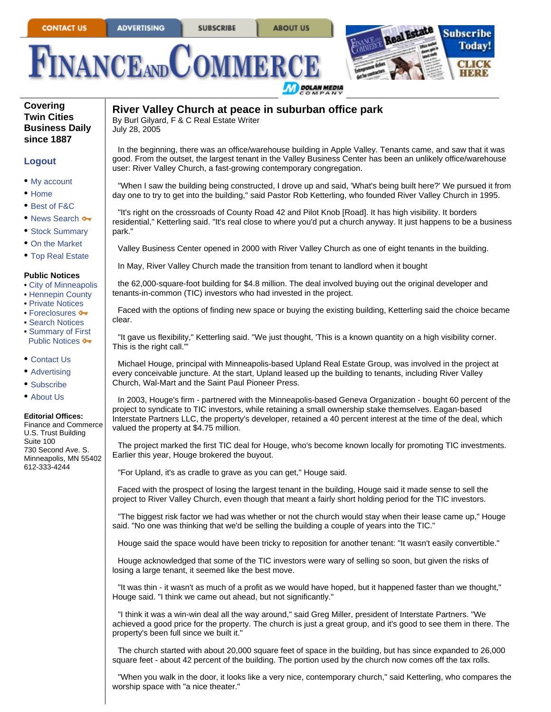**ABOUT US** 





**Covering Twin Cities Business Daily since 1887**

## **Logout**

- My account
- Home
- Best of F&C
- News Search  $\rightarrow$
- Stock Summary
- On the Market
- Top Real Estate

## **Public Notices**

- City of Minneapolis
- Hennepin County
- Private Notices
- Foreclosures •
- Search Notices • Summary of First
- Public Notices  $\bullet\bullet$
- Contact Us
- Advertising
- Subscribe
- About Us

## **Editorial Offices:**

Finance and Commerce U.S. Trust Building Suite 100 730 Second Ave. S. Minneapolis, MN 55402 612-333-4244

## **River Valley Church at peace in suburban office park**

By Burl Gilyard, F & C Real Estate Writer July 28, 2005

In the beginning, there was an office/warehouse building in Apple Valley. Tenants came, and saw that it was good. From the outset, the largest tenant in the Valley Business Center has been an unlikely office/warehouse user: River Valley Church, a fast-growing contemporary congregation.

"When I saw the building being constructed, I drove up and said, 'What's being built here?' We pursued it from day one to try to get into the building," said Pastor Rob Ketterling, who founded River Valley Church in 1995.

"It's right on the crossroads of County Road 42 and Pilot Knob [Road]. It has high visibility. It borders residential," Ketterling said. "It's real close to where you'd put a church anyway. It just happens to be a business park."

Valley Business Center opened in 2000 with River Valley Church as one of eight tenants in the building.

In May, River Valley Church made the transition from tenant to landlord when it bought

the 62,000-square-foot building for \$4.8 million. The deal involved buying out the original developer and tenants-in-common (TIC) investors who had invested in the project.

Faced with the options of finding new space or buying the existing building, Ketterling said the choice became clear.

"It gave us flexibility," Ketterling said. "We just thought, 'This is a known quantity on a high visibility corner. This is the right call.'"

Michael Houge, principal with Minneapolis-based Upland Real Estate Group, was involved in the project at every conceivable juncture. At the start, Upland leased up the building to tenants, including River Valley Church, Wal-Mart and the Saint Paul Pioneer Press.

In 2003, Houge's firm - partnered with the Minneapolis-based Geneva Organization - bought 60 percent of the project to syndicate to TIC investors, while retaining a small ownership stake themselves. Eagan-based Interstate Partners LLC, the property's developer, retained a 40 percent interest at the time of the deal, which valued the property at \$4.75 million.

The project marked the first TIC deal for Houge, who's become known locally for promoting TIC investments. Earlier this year, Houge brokered the buyout.

"For Upland, it's as cradle to grave as you can get," Houge said.

Faced with the prospect of losing the largest tenant in the building, Houge said it made sense to sell the project to River Valley Church, even though that meant a fairly short holding period for the TIC investors.

"The biggest risk factor we had was whether or not the church would stay when their lease came up," Houge said. "No one was thinking that we'd be selling the building a couple of years into the TIC."

Houge said the space would have been tricky to reposition for another tenant: "It wasn't easily convertible."

Houge acknowledged that some of the TIC investors were wary of selling so soon, but given the risks of losing a large tenant, it seemed like the best move.

"It was thin - it wasn't as much of a profit as we would have hoped, but it happened faster than we thought," Houge said. "I think we came out ahead, but not significantly."

"I think it was a win-win deal all the way around," said Greg Miller, president of Interstate Partners. "We achieved a good price for the property. The church is just a great group, and it's good to see them in there. The property's been full since we built it."

The church started with about 20,000 square feet of space in the building, but has since expanded to 26,000 square feet - about 42 percent of the building. The portion used by the church now comes off the tax rolls.

"When you walk in the door, it looks like a very nice, contemporary church," said Ketterling, who compares the worship space with "a nice theater."